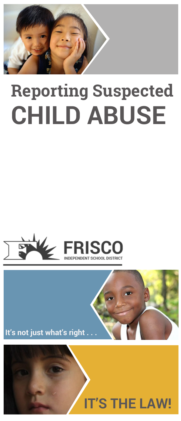

# **Reporting Suspected CHILD ABUSE**





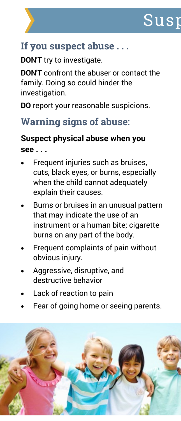

### **If you suspect abuse . . .**

**DON'T** try to investigate.

**DON'T** confront the abuser or contact the family. Doing so could hinder the investigation.

**DO** report your reasonable suspicions.

#### **Warning signs of abuse:**

#### **Suspect physical abuse when you see . . .**

- Frequent injuries such as bruises, cuts, black eyes, or burns, especially when the child cannot adequately explain their causes.
- Burns or bruises in an unusual pattern that may indicate the use of an instrument or a human bite; cigarette burns on any part of the body.
- Frequent complaints of pain without obvious injury.
- Aggressive, disruptive, and destructive behavior
- Lack of reaction to pain
- Fear of going home or seeing parents.

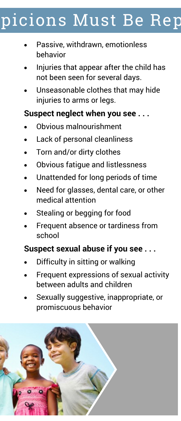## picions Must Be Rep

- Passive, withdrawn, emotionless behavior
- Injuries that appear after the child has not been seen for several days.
- Unseasonable clothes that may hide injuries to arms or legs.

#### **Suspect neglect when you see . . .**

- Obvious malnourishment
- Lack of personal cleanliness
- Torn and/or dirty clothes
- Obvious fatigue and listlessness
- Unattended for long periods of time
- Need for glasses, dental care, or other medical attention
- Stealing or begging for food
- Frequent absence or tardiness from school

#### **Suspect sexual abuse if you see . . .**

- Difficulty in sitting or walking
- Frequent expressions of sexual activity between adults and children
- Sexually suggestive, inappropriate, or promiscuous behavior

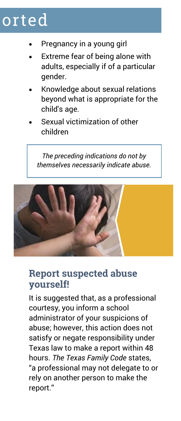### orted

- Pregnancy in a young girl
- Extreme fear of being alone with adults, especially if of a particular gender.
- Knowledge about sexual relations beyond what is appropriate for the child's age.
- Sexual victimization of other children

*The preceding indications do not by themselves necessarily indicate abuse.* 



#### **Report suspected abuse yourself!**

It is suggested that, as a professional courtesy, you inform a school administrator of your suspicions of abuse; however, this action does not satisfy or negate responsibility under Texas law to make a report within 48 hours. *The Texas Family Code* states, "a professional may not delegate to or rely on another person to make the report."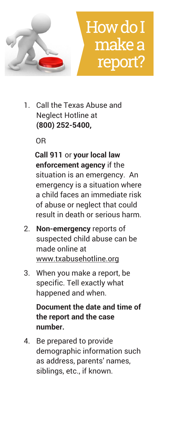

1. Call the Texas Abuse and Neglect Hotline at **(800) 252-5400,**

OR

**Call 911** or **your local law enforcement agency** if the situation is an emergency. An emergency is a situation where a child faces an immediate risk of abuse or neglect that could result in death or serious harm.

- 2. **Non-emergency** reports of suspected child abuse can be made online at www.txabusehotline.org
- 3. When you make a report, be specific. Tell exactly what happened and when.

**Document the date and time of the report and the case number.** 

4. Be prepared to provide demographic information such as address, parents' names, siblings, etc., if known.